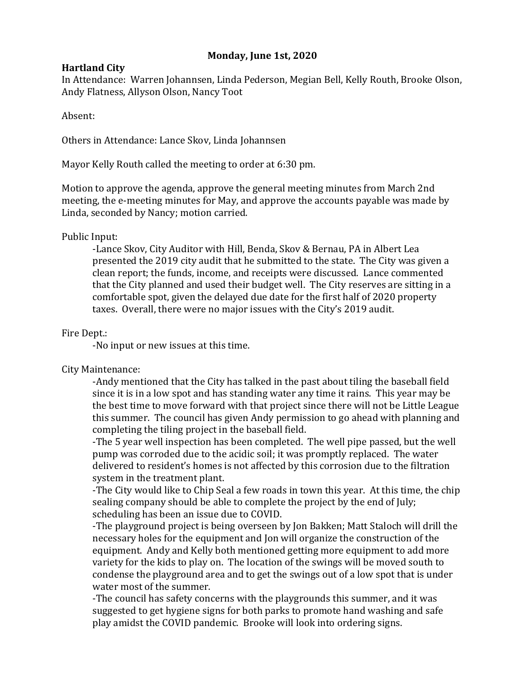# **Monday, June 1st, 2020**

### **Hartland City**

In Attendance: Warren Johannsen, Linda Pederson, Megian Bell, Kelly Routh, Brooke Olson, Andy Flatness, Allyson Olson, Nancy Toot

Absent:

Others in Attendance: Lance Skov, Linda Johannsen

Mayor Kelly Routh called the meeting to order at 6:30 pm.

Motion to approve the agenda, approve the general meeting minutes from March 2nd meeting, the e-meeting minutes for May, and approve the accounts payable was made by Linda, seconded by Nancy; motion carried.

### Public Input:

-Lance Skov, City Auditor with Hill, Benda, Skov & Bernau, PA in Albert Lea presented the 2019 city audit that he submitted to the state. The City was given a clean report; the funds, income, and receipts were discussed. Lance commented that the City planned and used their budget well. The City reserves are sitting in a comfortable spot, given the delayed due date for the first half of 2020 property taxes. Overall, there were no major issues with the City's 2019 audit.

### Fire Dept.:

-No input or new issues at this time.

# City Maintenance:

-Andy mentioned that the City has talked in the past about tiling the baseball field since it is in a low spot and has standing water any time it rains. This year may be the best time to move forward with that project since there will not be Little League this summer. The council has given Andy permission to go ahead with planning and completing the tiling project in the baseball field.

-The 5 year well inspection has been completed. The well pipe passed, but the well pump was corroded due to the acidic soil; it was promptly replaced. The water delivered to resident's homes is not affected by this corrosion due to the filtration system in the treatment plant.

-The City would like to Chip Seal a few roads in town this year. At this time, the chip sealing company should be able to complete the project by the end of July; scheduling has been an issue due to COVID.

-The playground project is being overseen by Jon Bakken; Matt Staloch will drill the necessary holes for the equipment and Jon will organize the construction of the equipment. Andy and Kelly both mentioned getting more equipment to add more variety for the kids to play on. The location of the swings will be moved south to condense the playground area and to get the swings out of a low spot that is under water most of the summer.

-The council has safety concerns with the playgrounds this summer, and it was suggested to get hygiene signs for both parks to promote hand washing and safe play amidst the COVID pandemic. Brooke will look into ordering signs.